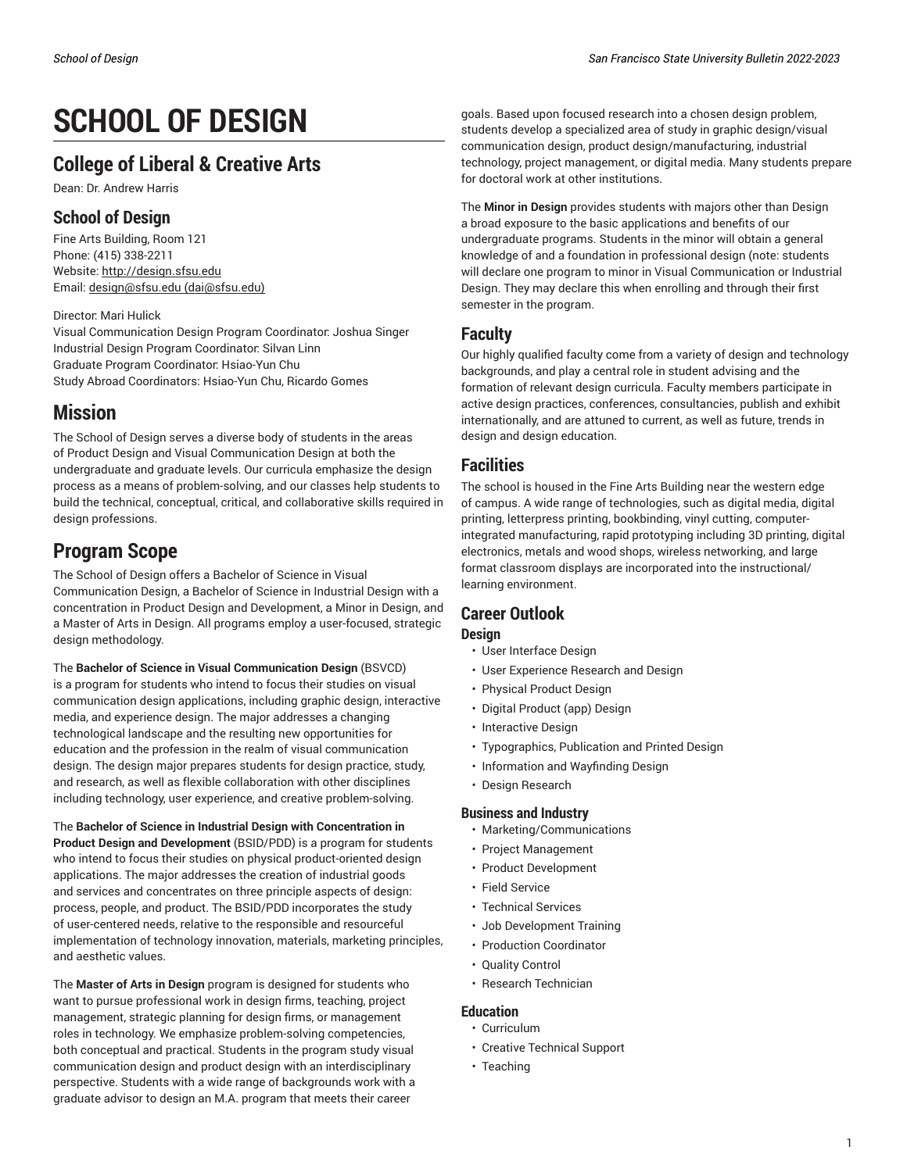# **SCHOOL OF DESIGN**

# **College of Liberal & Creative Arts**

Dean: Dr. Andrew Harris

# **School of Design**

Fine Arts Building, Room 121 Phone: (415) 338-2211 Website: <http://design.sfsu.edu> Email: [design@sfsu.edu](mailto:dai@sfsu.edu) [\(dai@sfsu.edu](dai@sfsu.edu))

## Director: Mari Hulick

Visual Communication Design Program Coordinator: Joshua Singer Industrial Design Program Coordinator: Silvan Linn Graduate Program Coordinator: Hsiao-Yun Chu Study Abroad Coordinators: Hsiao-Yun Chu, Ricardo Gomes

# **Mission**

The School of Design serves a diverse body of students in the areas of Product Design and Visual Communication Design at both the undergraduate and graduate levels. Our curricula emphasize the design process as a means of problem-solving, and our classes help students to build the technical, conceptual, critical, and collaborative skills required in design professions.

# **Program Scope**

The School of Design offers a Bachelor of Science in Visual Communication Design, a Bachelor of Science in Industrial Design with a concentration in Product Design and Development, a Minor in Design, and a Master of Arts in Design. All programs employ a user-focused, strategic design methodology.

The **Bachelor of Science in Visual Communication Design** (BSVCD) is a program for students who intend to focus their studies on visual communication design applications, including graphic design, interactive media, and experience design. The major addresses a changing technological landscape and the resulting new opportunities for education and the profession in the realm of visual communication design. The design major prepares students for design practice, study, and research, as well as flexible collaboration with other disciplines including technology, user experience, and creative problem-solving.

The **Bachelor of Science in Industrial Design with Concentration in Product Design and Development** (BSID/PDD) is a program for students who intend to focus their studies on physical product-oriented design applications. The major addresses the creation of industrial goods and services and concentrates on three principle aspects of design: process, people, and product. The BSID/PDD incorporates the study of user-centered needs, relative to the responsible and resourceful implementation of technology innovation, materials, marketing principles, and aesthetic values.

The **Master of Arts in Design** program is designed for students who want to pursue professional work in design firms, teaching, project management, strategic planning for design firms, or management roles in technology. We emphasize problem-solving competencies, both conceptual and practical. Students in the program study visual communication design and product design with an interdisciplinary perspective. Students with a wide range of backgrounds work with a graduate advisor to design an M.A. program that meets their career

goals. Based upon focused research into a chosen design problem, students develop a specialized area of study in graphic design/visual communication design, product design/manufacturing, industrial technology, project management, or digital media. Many students prepare for doctoral work at other institutions.

The **Minor in Design** provides students with majors other than Design a broad exposure to the basic applications and benefits of our undergraduate programs. Students in the minor will obtain a general knowledge of and a foundation in professional design (note: students will declare one program to minor in Visual Communication or Industrial Design. They may declare this when enrolling and through their first semester in the program.

# **Faculty**

Our highly qualified faculty come from a variety of design and technology backgrounds, and play a central role in student advising and the formation of relevant design curricula. Faculty members participate in active design practices, conferences, consultancies, publish and exhibit internationally, and are attuned to current, as well as future, trends in design and design education.

# **Facilities**

The school is housed in the Fine Arts Building near the western edge of campus. A wide range of technologies, such as digital media, digital printing, letterpress printing, bookbinding, vinyl cutting, computerintegrated manufacturing, rapid prototyping including 3D printing, digital electronics, metals and wood shops, wireless networking, and large format classroom displays are incorporated into the instructional/ learning environment.

# **Career Outlook**

# **Design**

- User Interface Design
- User Experience Research and Design
- Physical Product Design
- Digital Product (app) Design
- Interactive Design
- Typographics, Publication and Printed Design
- Information and Wayfinding Design
- Design Research

## **Business and Industry**

- Marketing/Communications
- Project Management
- Product Development
- Field Service
- Technical Services
- Job Development Training
- Production Coordinator
- Quality Control
- Research Technician

## **Education**

- Curriculum
- Creative Technical Support
- Teaching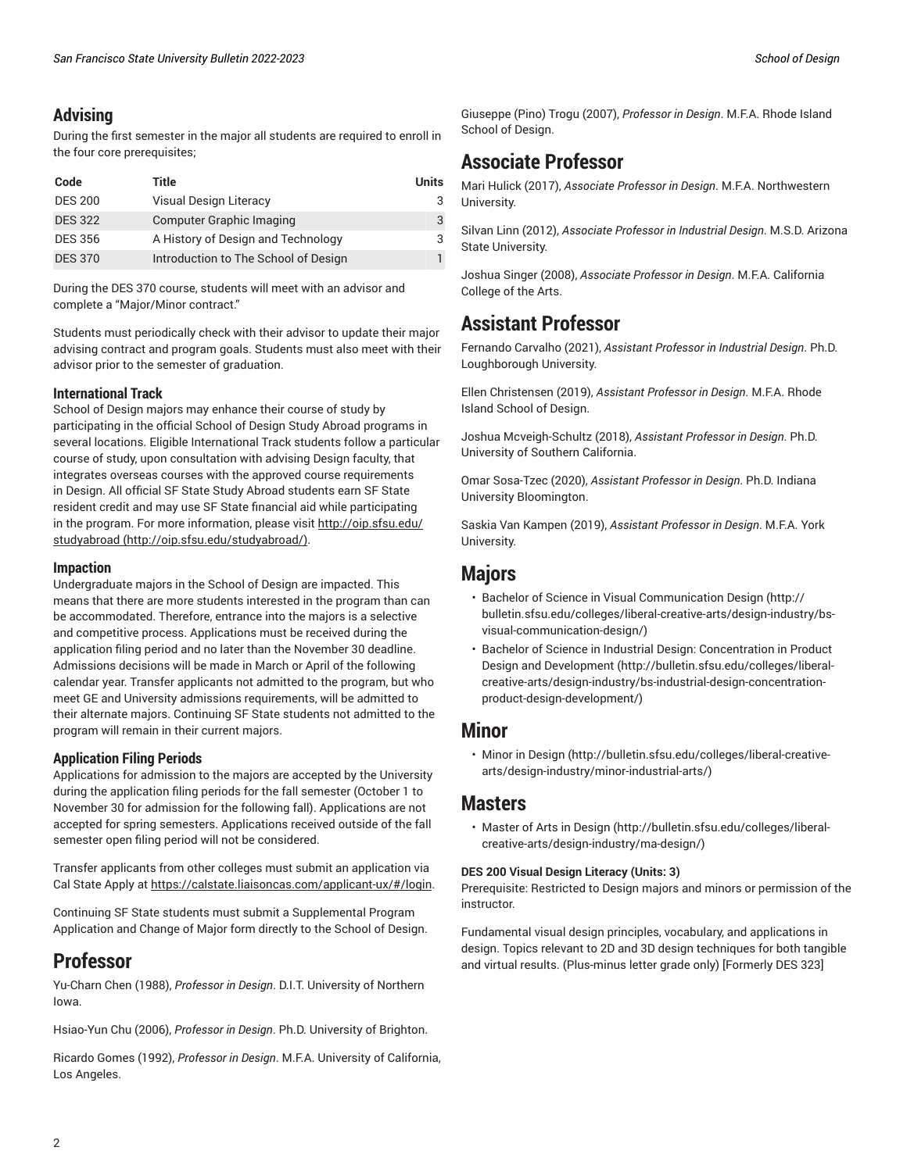# **Advising**

During the first semester in the major all students are required to enroll in the four core prerequisites;

| Code           | Title                                | Units |
|----------------|--------------------------------------|-------|
| <b>DES 200</b> | Visual Design Literacy               |       |
| <b>DES 322</b> | <b>Computer Graphic Imaging</b>      |       |
| <b>DES 356</b> | A History of Design and Technology   |       |
| <b>DES 370</b> | Introduction to The School of Design |       |

During the DES 370 course, students will meet with an advisor and complete a "Major/Minor contract."

Students must periodically check with their advisor to update their major advising contract and program goals. Students must also meet with their advisor prior to the semester of graduation.

### **International Track**

School of Design majors may enhance their course of study by participating in the official School of Design Study Abroad programs in several locations. Eligible International Track students follow a particular course of study, upon consultation with advising Design faculty, that integrates overseas courses with the approved course requirements in Design. All official SF State Study Abroad students earn SF State resident credit and may use SF State financial aid while participating in the program. For more information, please visit [http://oip.sfsu.edu/](http://oip.sfsu.edu/studyabroad/) [studyabroad](http://oip.sfsu.edu/studyabroad/) (<http://oip.sfsu.edu/studyabroad/>).

### **Impaction**

Undergraduate majors in the School of Design are impacted. This means that there are more students interested in the program than can be accommodated. Therefore, entrance into the majors is a selective and competitive process. Applications must be received during the application filing period and no later than the November 30 deadline. Admissions decisions will be made in March or April of the following calendar year. Transfer applicants not admitted to the program, but who meet GE and University admissions requirements, will be admitted to their alternate majors. Continuing SF State students not admitted to the program will remain in their current majors.

### **Application Filing Periods**

Applications for admission to the majors are accepted by the University during the application filing periods for the fall semester (October 1 to November 30 for admission for the following fall). Applications are not accepted for spring semesters. Applications received outside of the fall semester open filing period will not be considered.

Transfer applicants from other colleges must submit an application via Cal State Apply at [https://calstate.liaisoncas.com/applicant-ux/#/login.](https://calstate.liaisoncas.com/applicant-ux/#/login)

Continuing SF State students must submit a Supplemental Program Application and Change of Major form directly to the School of Design.

# **Professor**

Yu-Charn Chen (1988), *Professor in Design*. D.I.T. University of Northern Iowa.

Hsiao-Yun Chu (2006), *Professor in Design*. Ph.D. University of Brighton.

Ricardo Gomes (1992), *Professor in Design*. M.F.A. University of California, Los Angeles.

Giuseppe (Pino) Trogu (2007), *Professor in Design*. M.F.A. Rhode Island School of Design.

# **Associate Professor**

Mari Hulick (2017), *Associate Professor in Design*. M.F.A. Northwestern University.

Silvan Linn (2012), *Associate Professor in Industrial Design*. M.S.D. Arizona State University.

Joshua Singer (2008), *Associate Professor in Design*. M.F.A. California College of the Arts.

# **Assistant Professor**

Fernando Carvalho (2021), *Assistant Professor in Industrial Design*. Ph.D. Loughborough University.

Ellen Christensen (2019), *Assistant Professor in Design*. M.F.A. Rhode Island School of Design.

Joshua Mcveigh-Schultz (2018), *Assistant Professor in Design*. Ph.D. University of Southern California.

Omar Sosa-Tzec (2020), *Assistant Professor in Design*. Ph.D. Indiana University Bloomington.

Saskia Van Kampen (2019), *Assistant Professor in Design*. M.F.A. York University.

# **Majors**

- [Bachelor of Science in Visual Communication Design \(http://](http://bulletin.sfsu.edu/colleges/liberal-creative-arts/design-industry/bs-visual-communication-design/) [bulletin.sfsu.edu/colleges/liberal-creative-arts/design-industry/bs](http://bulletin.sfsu.edu/colleges/liberal-creative-arts/design-industry/bs-visual-communication-design/)[visual-communication-design/\)](http://bulletin.sfsu.edu/colleges/liberal-creative-arts/design-industry/bs-visual-communication-design/)
- Bachelor of Science in Industrial Design: [Concentration](http://bulletin.sfsu.edu/colleges/liberal-creative-arts/design-industry/bs-industrial-design-concentration-product-design-development/) in Product Design and [Development \(http://bulletin.sfsu.edu/colleges/liberal](http://bulletin.sfsu.edu/colleges/liberal-creative-arts/design-industry/bs-industrial-design-concentration-product-design-development/)[creative-arts/design-industry/bs-industrial-design-concentration](http://bulletin.sfsu.edu/colleges/liberal-creative-arts/design-industry/bs-industrial-design-concentration-product-design-development/)[product-design-development/](http://bulletin.sfsu.edu/colleges/liberal-creative-arts/design-industry/bs-industrial-design-concentration-product-design-development/))

# **Minor**

• [Minor in Design \(http://bulletin.sfsu.edu/colleges/liberal-creative](http://bulletin.sfsu.edu/colleges/liberal-creative-arts/design-industry/minor-industrial-arts/)[arts/design-industry/minor-industrial-arts/](http://bulletin.sfsu.edu/colleges/liberal-creative-arts/design-industry/minor-industrial-arts/))

# **Masters**

• [Master](http://bulletin.sfsu.edu/colleges/liberal-creative-arts/design-industry/ma-design/) of Arts in Design ([http://bulletin.sfsu.edu/colleges/liberal](http://bulletin.sfsu.edu/colleges/liberal-creative-arts/design-industry/ma-design/)[creative-arts/design-industry/ma-design/](http://bulletin.sfsu.edu/colleges/liberal-creative-arts/design-industry/ma-design/))

### **DES 200 Visual Design Literacy (Units: 3)**

Prerequisite: Restricted to Design majors and minors or permission of the instructor.

Fundamental visual design principles, vocabulary, and applications in design. Topics relevant to 2D and 3D design techniques for both tangible and virtual results. (Plus-minus letter grade only) [Formerly DES 323]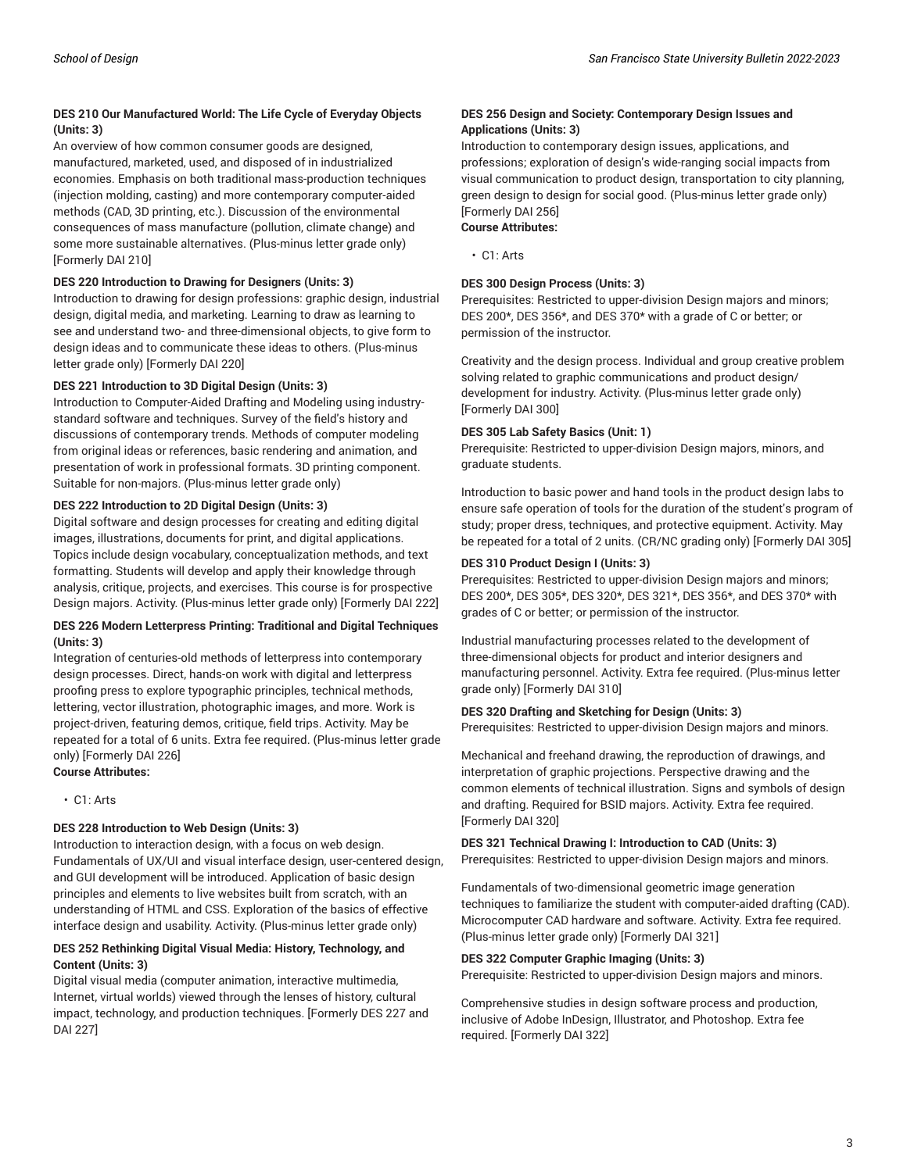### **DES 210 Our Manufactured World: The Life Cycle of Everyday Objects (Units: 3)**

An overview of how common consumer goods are designed, manufactured, marketed, used, and disposed of in industrialized economies. Emphasis on both traditional mass-production techniques (injection molding, casting) and more contemporary computer-aided methods (CAD, 3D printing, etc.). Discussion of the environmental consequences of mass manufacture (pollution, climate change) and some more sustainable alternatives. (Plus-minus letter grade only) [Formerly DAI 210]

#### **DES 220 Introduction to Drawing for Designers (Units: 3)**

Introduction to drawing for design professions: graphic design, industrial design, digital media, and marketing. Learning to draw as learning to see and understand two- and three-dimensional objects, to give form to design ideas and to communicate these ideas to others. (Plus-minus letter grade only) [Formerly DAI 220]

#### **DES 221 Introduction to 3D Digital Design (Units: 3)**

Introduction to Computer-Aided Drafting and Modeling using industrystandard software and techniques. Survey of the field's history and discussions of contemporary trends. Methods of computer modeling from original ideas or references, basic rendering and animation, and presentation of work in professional formats. 3D printing component. Suitable for non-majors. (Plus-minus letter grade only)

#### **DES 222 Introduction to 2D Digital Design (Units: 3)**

Digital software and design processes for creating and editing digital images, illustrations, documents for print, and digital applications. Topics include design vocabulary, conceptualization methods, and text formatting. Students will develop and apply their knowledge through analysis, critique, projects, and exercises. This course is for prospective Design majors. Activity. (Plus-minus letter grade only) [Formerly DAI 222]

### **DES 226 Modern Letterpress Printing: Traditional and Digital Techniques (Units: 3)**

Integration of centuries-old methods of letterpress into contemporary design processes. Direct, hands-on work with digital and letterpress proofing press to explore typographic principles, technical methods, lettering, vector illustration, photographic images, and more. Work is project-driven, featuring demos, critique, field trips. Activity. May be repeated for a total of 6 units. Extra fee required. (Plus-minus letter grade only) [Formerly DAI 226] **Course Attributes:**

• C1: Arts

## **DES 228 Introduction to Web Design (Units: 3)**

Introduction to interaction design, with a focus on web design. Fundamentals of UX/UI and visual interface design, user-centered design, and GUI development will be introduced. Application of basic design principles and elements to live websites built from scratch, with an understanding of HTML and CSS. Exploration of the basics of effective interface design and usability. Activity. (Plus-minus letter grade only)

#### **DES 252 Rethinking Digital Visual Media: History, Technology, and Content (Units: 3)**

Digital visual media (computer animation, interactive multimedia, Internet, virtual worlds) viewed through the lenses of history, cultural impact, technology, and production techniques. [Formerly DES 227 and DAI 227]

#### **DES 256 Design and Society: Contemporary Design Issues and Applications (Units: 3)**

Introduction to contemporary design issues, applications, and professions; exploration of design's wide-ranging social impacts from visual communication to product design, transportation to city planning, green design to design for social good. (Plus-minus letter grade only) [Formerly DAI 256]

**Course Attributes:**

• C1: Arts

#### **DES 300 Design Process (Units: 3)**

Prerequisites: Restricted to upper-division Design majors and minors; DES 200\*, DES 356\*, and DES 370\* with a grade of C or better; or permission of the instructor.

Creativity and the design process. Individual and group creative problem solving related to graphic communications and product design/ development for industry. Activity. (Plus-minus letter grade only) [Formerly DAI 300]

#### **DES 305 Lab Safety Basics (Unit: 1)**

Prerequisite: Restricted to upper-division Design majors, minors, and graduate students.

Introduction to basic power and hand tools in the product design labs to ensure safe operation of tools for the duration of the student's program of study; proper dress, techniques, and protective equipment. Activity. May be repeated for a total of 2 units. (CR/NC grading only) [Formerly DAI 305]

#### **DES 310 Product Design I (Units: 3)**

Prerequisites: Restricted to upper-division Design majors and minors; DES 200\*, DES 305\*, DES 320\*, DES 321\*, DES 356\*, and DES 370\* with grades of C or better; or permission of the instructor.

Industrial manufacturing processes related to the development of three-dimensional objects for product and interior designers and manufacturing personnel. Activity. Extra fee required. (Plus-minus letter grade only) [Formerly DAI 310]

### **DES 320 Drafting and Sketching for Design (Units: 3)**

Prerequisites: Restricted to upper-division Design majors and minors.

Mechanical and freehand drawing, the reproduction of drawings, and interpretation of graphic projections. Perspective drawing and the common elements of technical illustration. Signs and symbols of design and drafting. Required for BSID majors. Activity. Extra fee required. [Formerly DAI 320]

#### **DES 321 Technical Drawing I: Introduction to CAD (Units: 3)** Prerequisites: Restricted to upper-division Design majors and minors.

Fundamentals of two-dimensional geometric image generation techniques to familiarize the student with computer-aided drafting (CAD). Microcomputer CAD hardware and software. Activity. Extra fee required. (Plus-minus letter grade only) [Formerly DAI 321]

#### **DES 322 Computer Graphic Imaging (Units: 3)**

Prerequisite: Restricted to upper-division Design majors and minors.

Comprehensive studies in design software process and production, inclusive of Adobe InDesign, Illustrator, and Photoshop. Extra fee required. [Formerly DAI 322]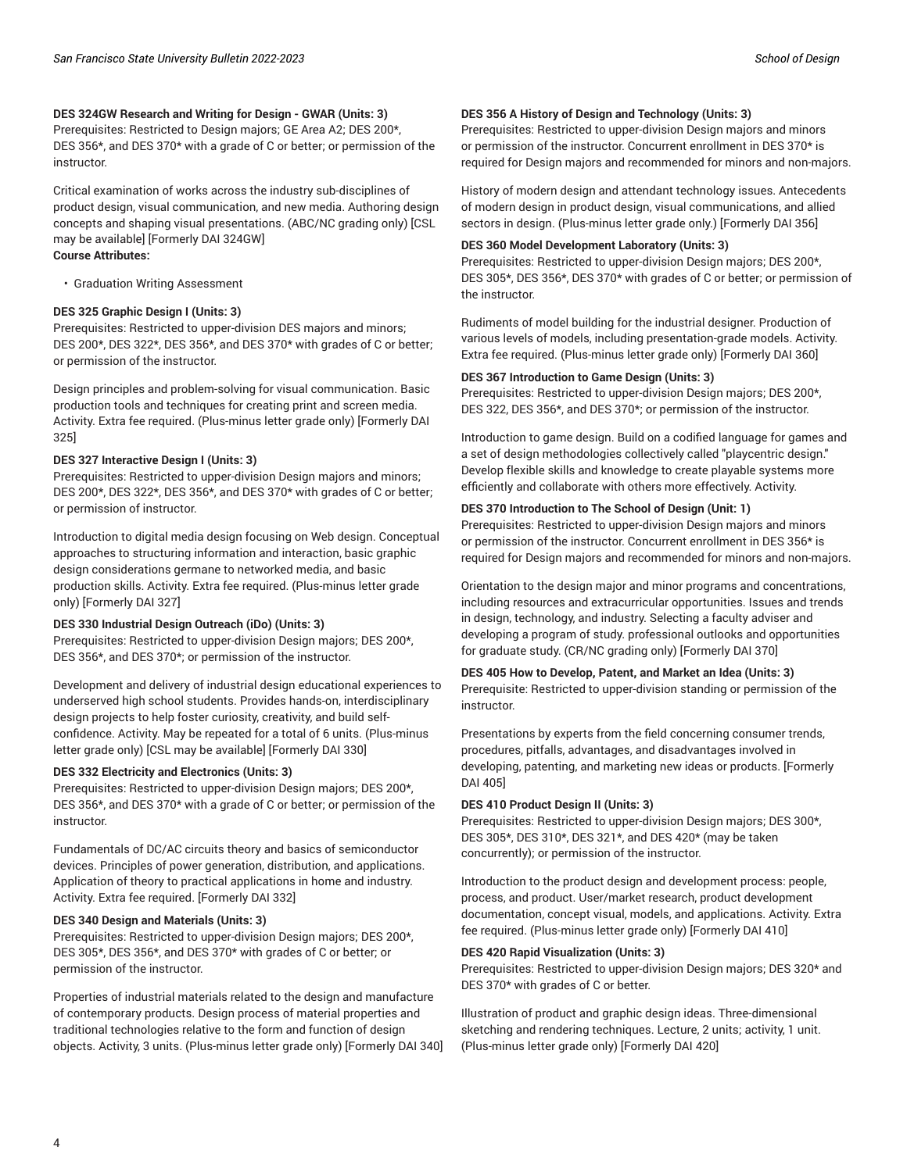### **DES 324GW Research and Writing for Design - GWAR (Units: 3)**

Prerequisites: Restricted to Design majors; GE Area A2; DES 200\*, DES 356\*, and DES 370\* with a grade of C or better; or permission of the instructor.

Critical examination of works across the industry sub-disciplines of product design, visual communication, and new media. Authoring design concepts and shaping visual presentations. (ABC/NC grading only) [CSL may be available] [Formerly DAI 324GW] **Course Attributes:**

• Graduation Writing Assessment

#### **DES 325 Graphic Design I (Units: 3)**

Prerequisites: Restricted to upper-division DES majors and minors; DES 200\*, DES 322\*, DES 356\*, and DES 370\* with grades of C or better; or permission of the instructor.

Design principles and problem-solving for visual communication. Basic production tools and techniques for creating print and screen media. Activity. Extra fee required. (Plus-minus letter grade only) [Formerly DAI 325]

#### **DES 327 Interactive Design I (Units: 3)**

Prerequisites: Restricted to upper-division Design majors and minors; DES 200\*, DES 322\*, DES 356\*, and DES 370\* with grades of C or better; or permission of instructor.

Introduction to digital media design focusing on Web design. Conceptual approaches to structuring information and interaction, basic graphic design considerations germane to networked media, and basic production skills. Activity. Extra fee required. (Plus-minus letter grade only) [Formerly DAI 327]

#### **DES 330 Industrial Design Outreach (iDo) (Units: 3)**

Prerequisites: Restricted to upper-division Design majors; DES 200\*, DES 356\*, and DES 370\*; or permission of the instructor.

Development and delivery of industrial design educational experiences to underserved high school students. Provides hands-on, interdisciplinary design projects to help foster curiosity, creativity, and build selfconfidence. Activity. May be repeated for a total of 6 units. (Plus-minus letter grade only) [CSL may be available] [Formerly DAI 330]

#### **DES 332 Electricity and Electronics (Units: 3)**

Prerequisites: Restricted to upper-division Design majors; DES 200\*, DES 356\*, and DES 370\* with a grade of C or better; or permission of the instructor.

Fundamentals of DC/AC circuits theory and basics of semiconductor devices. Principles of power generation, distribution, and applications. Application of theory to practical applications in home and industry. Activity. Extra fee required. [Formerly DAI 332]

#### **DES 340 Design and Materials (Units: 3)**

Prerequisites: Restricted to upper-division Design majors; DES 200\*, DES 305\*, DES 356\*, and DES 370\* with grades of C or better; or permission of the instructor.

Properties of industrial materials related to the design and manufacture of contemporary products. Design process of material properties and traditional technologies relative to the form and function of design objects. Activity, 3 units. (Plus-minus letter grade only) [Formerly DAI 340]

#### **DES 356 A History of Design and Technology (Units: 3)**

Prerequisites: Restricted to upper-division Design majors and minors or permission of the instructor. Concurrent enrollment in DES 370\* is required for Design majors and recommended for minors and non-majors.

History of modern design and attendant technology issues. Antecedents of modern design in product design, visual communications, and allied sectors in design. (Plus-minus letter grade only.) [Formerly DAI 356]

#### **DES 360 Model Development Laboratory (Units: 3)**

Prerequisites: Restricted to upper-division Design majors; DES 200\*, DES 305\*, DES 356\*, DES 370\* with grades of C or better; or permission of the instructor.

Rudiments of model building for the industrial designer. Production of various levels of models, including presentation-grade models. Activity. Extra fee required. (Plus-minus letter grade only) [Formerly DAI 360]

#### **DES 367 Introduction to Game Design (Units: 3)**

Prerequisites: Restricted to upper-division Design majors; DES 200\*, DES 322, DES 356\*, and DES 370\*; or permission of the instructor.

Introduction to game design. Build on a codified language for games and a set of design methodologies collectively called "playcentric design." Develop flexible skills and knowledge to create playable systems more efficiently and collaborate with others more effectively. Activity.

#### **DES 370 Introduction to The School of Design (Unit: 1)**

Prerequisites: Restricted to upper-division Design majors and minors or permission of the instructor. Concurrent enrollment in DES 356\* is required for Design majors and recommended for minors and non-majors.

Orientation to the design major and minor programs and concentrations, including resources and extracurricular opportunities. Issues and trends in design, technology, and industry. Selecting a faculty adviser and developing a program of study. professional outlooks and opportunities for graduate study. (CR/NC grading only) [Formerly DAI 370]

#### **DES 405 How to Develop, Patent, and Market an Idea (Units: 3)**

Prerequisite: Restricted to upper-division standing or permission of the instructor.

Presentations by experts from the field concerning consumer trends, procedures, pitfalls, advantages, and disadvantages involved in developing, patenting, and marketing new ideas or products. [Formerly DAI 405]

#### **DES 410 Product Design II (Units: 3)**

Prerequisites: Restricted to upper-division Design majors; DES 300\*, DES 305\*, DES 310\*, DES 321\*, and DES 420\* (may be taken concurrently); or permission of the instructor.

Introduction to the product design and development process: people, process, and product. User/market research, product development documentation, concept visual, models, and applications. Activity. Extra fee required. (Plus-minus letter grade only) [Formerly DAI 410]

#### **DES 420 Rapid Visualization (Units: 3)**

Prerequisites: Restricted to upper-division Design majors; DES 320\* and DES 370\* with grades of C or better.

Illustration of product and graphic design ideas. Three-dimensional sketching and rendering techniques. Lecture, 2 units; activity, 1 unit. (Plus-minus letter grade only) [Formerly DAI 420]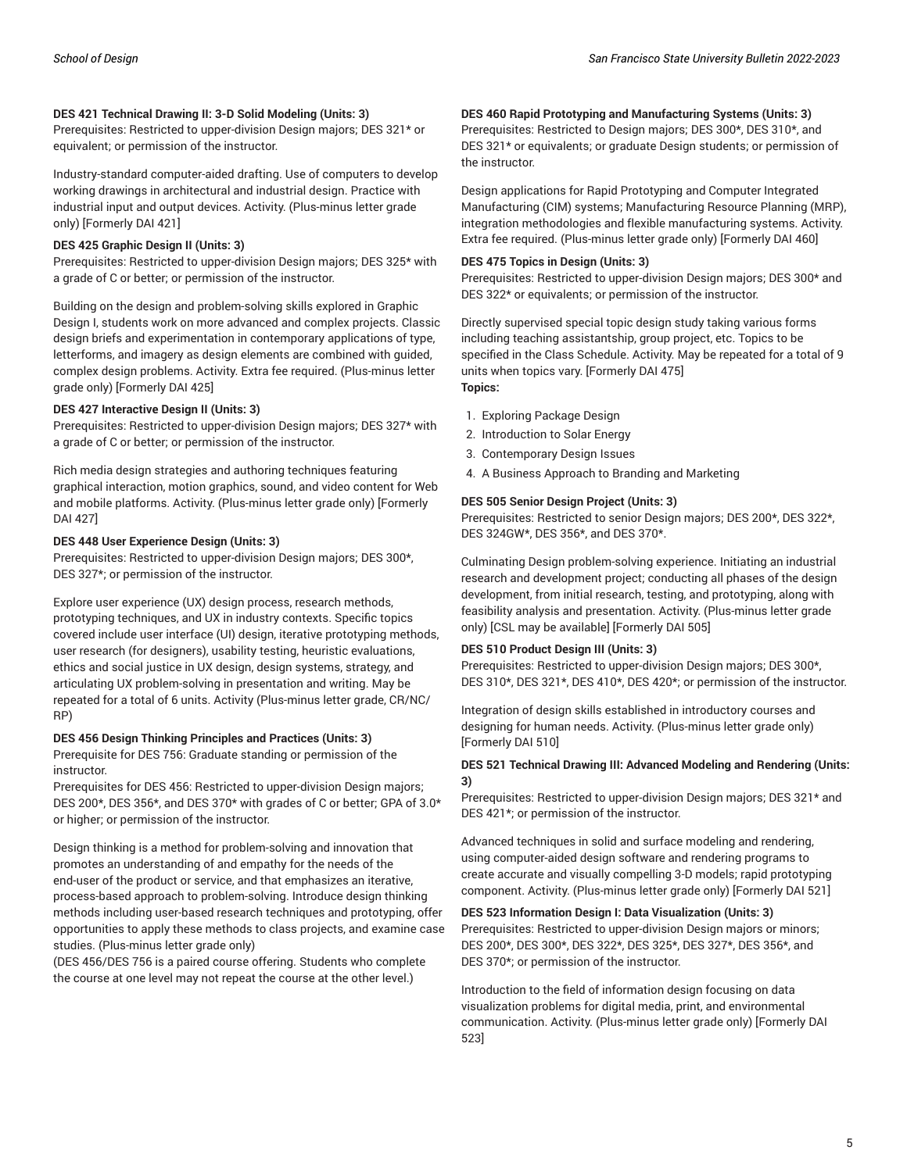#### **DES 421 Technical Drawing II: 3-D Solid Modeling (Units: 3)**

Prerequisites: Restricted to upper-division Design majors; DES 321\* or equivalent; or permission of the instructor.

Industry-standard computer-aided drafting. Use of computers to develop working drawings in architectural and industrial design. Practice with industrial input and output devices. Activity. (Plus-minus letter grade only) [Formerly DAI 421]

#### **DES 425 Graphic Design II (Units: 3)**

Prerequisites: Restricted to upper-division Design majors; DES 325\* with a grade of C or better; or permission of the instructor.

Building on the design and problem-solving skills explored in Graphic Design I, students work on more advanced and complex projects. Classic design briefs and experimentation in contemporary applications of type, letterforms, and imagery as design elements are combined with guided, complex design problems. Activity. Extra fee required. (Plus-minus letter grade only) [Formerly DAI 425]

#### **DES 427 Interactive Design II (Units: 3)**

Prerequisites: Restricted to upper-division Design majors; DES 327\* with a grade of C or better; or permission of the instructor.

Rich media design strategies and authoring techniques featuring graphical interaction, motion graphics, sound, and video content for Web and mobile platforms. Activity. (Plus-minus letter grade only) [Formerly DAI 427]

#### **DES 448 User Experience Design (Units: 3)**

Prerequisites: Restricted to upper-division Design majors; DES 300\*, DES 327\*; or permission of the instructor.

Explore user experience (UX) design process, research methods, prototyping techniques, and UX in industry contexts. Specific topics covered include user interface (UI) design, iterative prototyping methods, user research (for designers), usability testing, heuristic evaluations, ethics and social justice in UX design, design systems, strategy, and articulating UX problem-solving in presentation and writing. May be repeated for a total of 6 units. Activity (Plus-minus letter grade, CR/NC/ RP)

#### **DES 456 Design Thinking Principles and Practices (Units: 3)**

Prerequisite for DES 756: Graduate standing or permission of the instructor.

Prerequisites for DES 456: Restricted to upper-division Design majors; DES 200\*, DES 356\*, and DES 370\* with grades of C or better; GPA of 3.0\* or higher; or permission of the instructor.

Design thinking is a method for problem-solving and innovation that promotes an understanding of and empathy for the needs of the end-user of the product or service, and that emphasizes an iterative, process-based approach to problem-solving. Introduce design thinking methods including user-based research techniques and prototyping, offer opportunities to apply these methods to class projects, and examine case studies. (Plus-minus letter grade only)

(DES 456/DES 756 is a paired course offering. Students who complete the course at one level may not repeat the course at the other level.)

#### **DES 460 Rapid Prototyping and Manufacturing Systems (Units: 3)**

Prerequisites: Restricted to Design majors; DES 300\*, DES 310\*, and DES 321\* or equivalents; or graduate Design students; or permission of the instructor.

Design applications for Rapid Prototyping and Computer Integrated Manufacturing (CIM) systems; Manufacturing Resource Planning (MRP), integration methodologies and flexible manufacturing systems. Activity. Extra fee required. (Plus-minus letter grade only) [Formerly DAI 460]

#### **DES 475 Topics in Design (Units: 3)**

Prerequisites: Restricted to upper-division Design majors; DES 300\* and DES 322\* or equivalents; or permission of the instructor.

Directly supervised special topic design study taking various forms including teaching assistantship, group project, etc. Topics to be specified in the Class Schedule. Activity. May be repeated for a total of 9 units when topics vary. [Formerly DAI 475] **Topics:**

- 1. Exploring Package Design
- 2. Introduction to Solar Energy
- 3. Contemporary Design Issues
- 4. A Business Approach to Branding and Marketing

#### **DES 505 Senior Design Project (Units: 3)**

Prerequisites: Restricted to senior Design majors; DES 200\*, DES 322\*, DES 324GW\*, DES 356\*, and DES 370\*.

Culminating Design problem-solving experience. Initiating an industrial research and development project; conducting all phases of the design development, from initial research, testing, and prototyping, along with feasibility analysis and presentation. Activity. (Plus-minus letter grade only) [CSL may be available] [Formerly DAI 505]

#### **DES 510 Product Design III (Units: 3)**

Prerequisites: Restricted to upper-division Design majors; DES 300\*, DES 310\*, DES 321\*, DES 410\*, DES 420\*; or permission of the instructor.

Integration of design skills established in introductory courses and designing for human needs. Activity. (Plus-minus letter grade only) [Formerly DAI 510]

#### **DES 521 Technical Drawing III: Advanced Modeling and Rendering (Units: 3)**

Prerequisites: Restricted to upper-division Design majors; DES 321\* and DES 421\*; or permission of the instructor.

Advanced techniques in solid and surface modeling and rendering, using computer-aided design software and rendering programs to create accurate and visually compelling 3-D models; rapid prototyping component. Activity. (Plus-minus letter grade only) [Formerly DAI 521]

#### **DES 523 Information Design I: Data Visualization (Units: 3)**

Prerequisites: Restricted to upper-division Design majors or minors; DES 200\*, DES 300\*, DES 322\*, DES 325\*, DES 327\*, DES 356\*, and DES 370\*; or permission of the instructor.

Introduction to the field of information design focusing on data visualization problems for digital media, print, and environmental communication. Activity. (Plus-minus letter grade only) [Formerly DAI 523]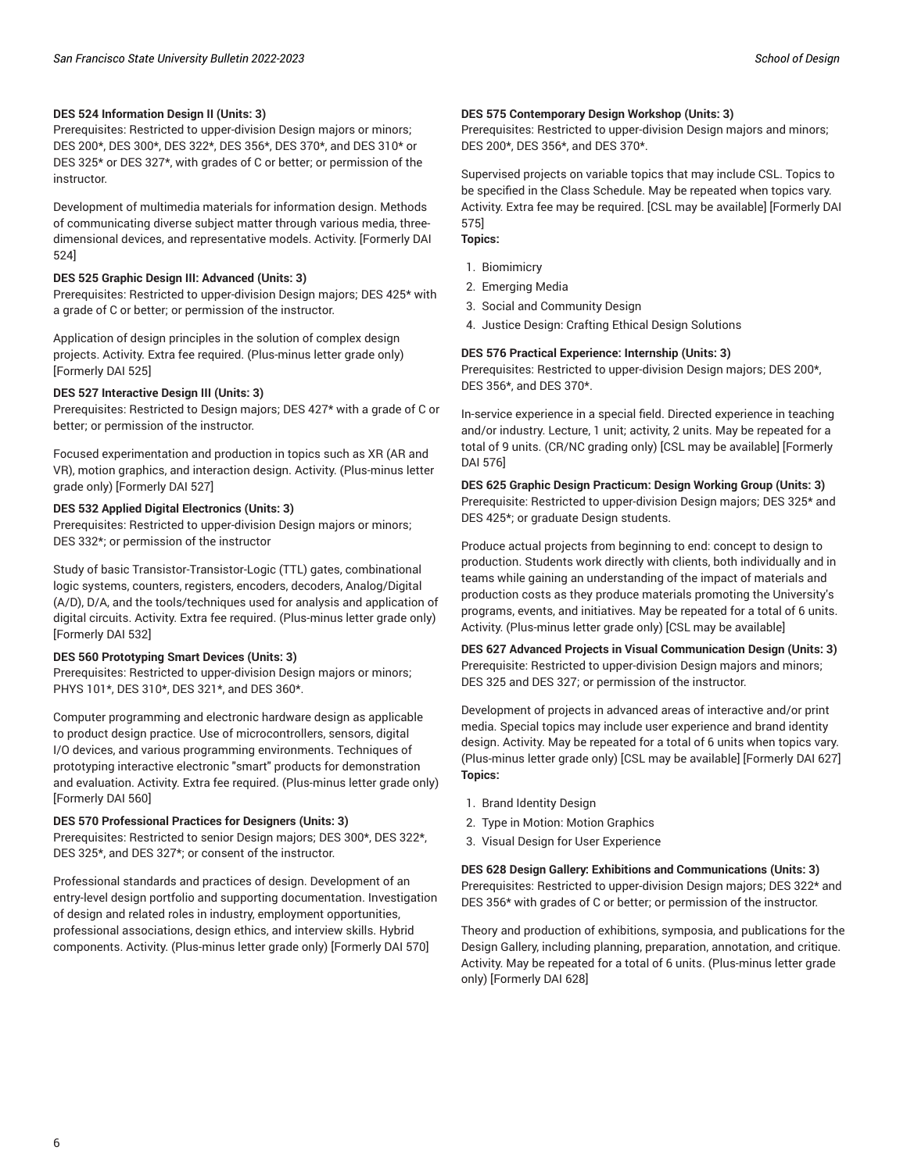#### **DES 524 Information Design II (Units: 3)**

Prerequisites: Restricted to upper-division Design majors or minors; DES 200\*, DES 300\*, DES 322\*, DES 356\*, DES 370\*, and DES 310\* or DES 325\* or DES 327\*, with grades of C or better; or permission of the instructor.

Development of multimedia materials for information design. Methods of communicating diverse subject matter through various media, threedimensional devices, and representative models. Activity. [Formerly DAI 524]

#### **DES 525 Graphic Design III: Advanced (Units: 3)**

Prerequisites: Restricted to upper-division Design majors; DES 425\* with a grade of C or better; or permission of the instructor.

Application of design principles in the solution of complex design projects. Activity. Extra fee required. (Plus-minus letter grade only) [Formerly DAI 525]

#### **DES 527 Interactive Design III (Units: 3)**

Prerequisites: Restricted to Design majors; DES 427\* with a grade of C or better; or permission of the instructor.

Focused experimentation and production in topics such as XR (AR and VR), motion graphics, and interaction design. Activity. (Plus-minus letter grade only) [Formerly DAI 527]

#### **DES 532 Applied Digital Electronics (Units: 3)**

Prerequisites: Restricted to upper-division Design majors or minors; DES 332\*; or permission of the instructor

Study of basic Transistor-Transistor-Logic (TTL) gates, combinational logic systems, counters, registers, encoders, decoders, Analog/Digital (A/D), D/A, and the tools/techniques used for analysis and application of digital circuits. Activity. Extra fee required. (Plus-minus letter grade only) [Formerly DAI 532]

#### **DES 560 Prototyping Smart Devices (Units: 3)**

Prerequisites: Restricted to upper-division Design majors or minors; PHYS 101\*, DES 310\*, DES 321\*, and DES 360\*.

Computer programming and electronic hardware design as applicable to product design practice. Use of microcontrollers, sensors, digital I/O devices, and various programming environments. Techniques of prototyping interactive electronic "smart" products for demonstration and evaluation. Activity. Extra fee required. (Plus-minus letter grade only) [Formerly DAI 560]

#### **DES 570 Professional Practices for Designers (Units: 3)**

Prerequisites: Restricted to senior Design majors; DES 300\*, DES 322\*, DES 325\*, and DES 327\*; or consent of the instructor.

Professional standards and practices of design. Development of an entry-level design portfolio and supporting documentation. Investigation of design and related roles in industry, employment opportunities, professional associations, design ethics, and interview skills. Hybrid components. Activity. (Plus-minus letter grade only) [Formerly DAI 570]

#### **DES 575 Contemporary Design Workshop (Units: 3)**

Prerequisites: Restricted to upper-division Design majors and minors; DES 200\*, DES 356\*, and DES 370\*.

Supervised projects on variable topics that may include CSL. Topics to be specified in the Class Schedule. May be repeated when topics vary. Activity. Extra fee may be required. [CSL may be available] [Formerly DAI 575]

#### **Topics:**

- 1. Biomimicry
- 2. Emerging Media
- 3. Social and Community Design
- 4. Justice Design: Crafting Ethical Design Solutions

#### **DES 576 Practical Experience: Internship (Units: 3)**

Prerequisites: Restricted to upper-division Design majors; DES 200\*, DES 356\*, and DES 370\*.

In-service experience in a special field. Directed experience in teaching and/or industry. Lecture, 1 unit; activity, 2 units. May be repeated for a total of 9 units. (CR/NC grading only) [CSL may be available] [Formerly DAI 576]

**DES 625 Graphic Design Practicum: Design Working Group (Units: 3)** Prerequisite: Restricted to upper-division Design majors; DES 325\* and DES 425\*; or graduate Design students.

Produce actual projects from beginning to end: concept to design to production. Students work directly with clients, both individually and in teams while gaining an understanding of the impact of materials and production costs as they produce materials promoting the University's programs, events, and initiatives. May be repeated for a total of 6 units. Activity. (Plus-minus letter grade only) [CSL may be available]

**DES 627 Advanced Projects in Visual Communication Design (Units: 3)** Prerequisite: Restricted to upper-division Design majors and minors; DES 325 and DES 327; or permission of the instructor.

Development of projects in advanced areas of interactive and/or print media. Special topics may include user experience and brand identity design. Activity. May be repeated for a total of 6 units when topics vary. (Plus-minus letter grade only) [CSL may be available] [Formerly DAI 627] **Topics:**

- 1. Brand Identity Design
- 2. Type in Motion: Motion Graphics
- 3. Visual Design for User Experience

**DES 628 Design Gallery: Exhibitions and Communications (Units: 3)** Prerequisites: Restricted to upper-division Design majors; DES 322\* and DES 356\* with grades of C or better; or permission of the instructor.

Theory and production of exhibitions, symposia, and publications for the Design Gallery, including planning, preparation, annotation, and critique. Activity. May be repeated for a total of 6 units. (Plus-minus letter grade only) [Formerly DAI 628]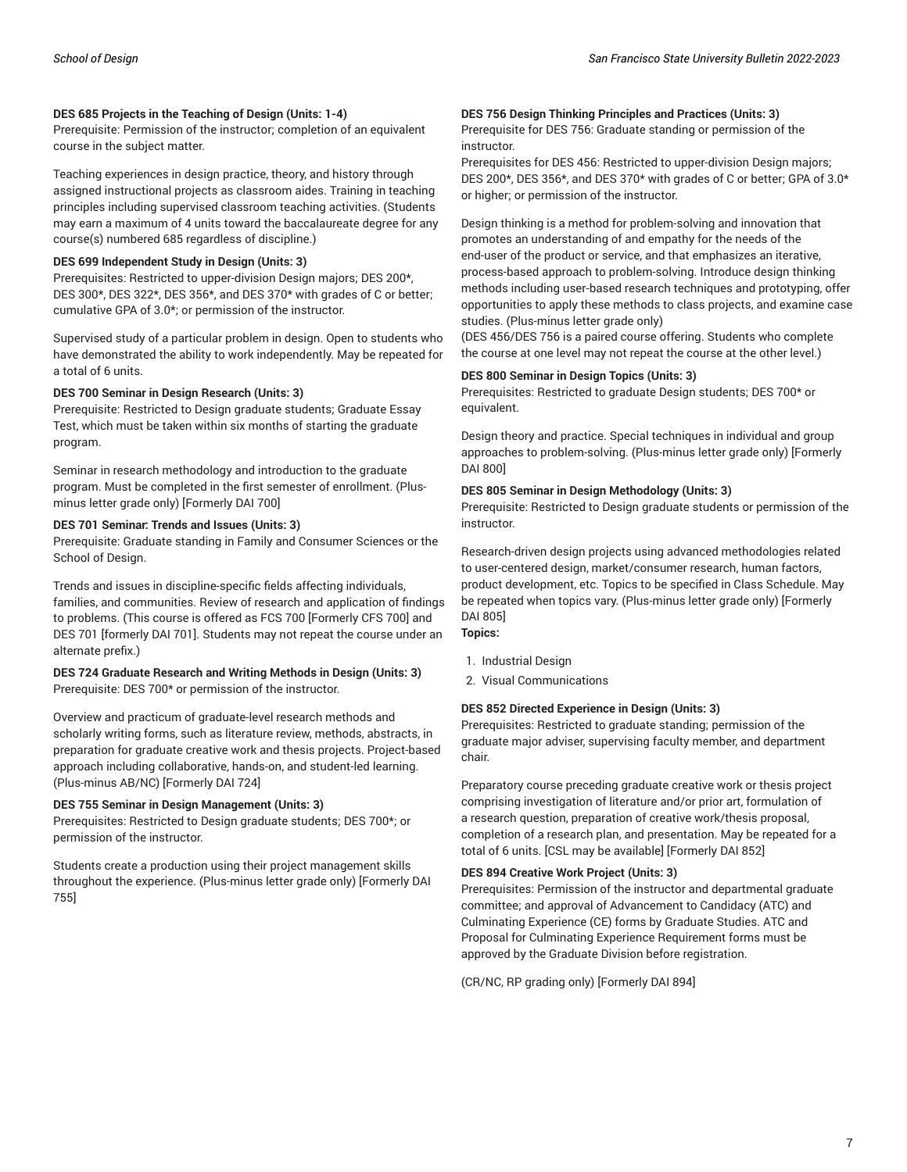#### **DES 685 Projects in the Teaching of Design (Units: 1-4)**

Prerequisite: Permission of the instructor; completion of an equivalent course in the subject matter.

Teaching experiences in design practice, theory, and history through assigned instructional projects as classroom aides. Training in teaching principles including supervised classroom teaching activities. (Students may earn a maximum of 4 units toward the baccalaureate degree for any course(s) numbered 685 regardless of discipline.)

### **DES 699 Independent Study in Design (Units: 3)**

Prerequisites: Restricted to upper-division Design majors; DES 200\*, DES 300\*, DES 322\*, DES 356\*, and DES 370\* with grades of C or better; cumulative GPA of 3.0\*; or permission of the instructor.

Supervised study of a particular problem in design. Open to students who have demonstrated the ability to work independently. May be repeated for a total of 6 units.

#### **DES 700 Seminar in Design Research (Units: 3)**

Prerequisite: Restricted to Design graduate students; Graduate Essay Test, which must be taken within six months of starting the graduate program.

Seminar in research methodology and introduction to the graduate program. Must be completed in the first semester of enrollment. (Plusminus letter grade only) [Formerly DAI 700]

#### **DES 701 Seminar: Trends and Issues (Units: 3)**

Prerequisite: Graduate standing in Family and Consumer Sciences or the School of Design.

Trends and issues in discipline-specific fields affecting individuals, families, and communities. Review of research and application of findings to problems. (This course is offered as FCS 700 [Formerly CFS 700] and DES 701 [formerly DAI 701]. Students may not repeat the course under an alternate prefix.)

#### **DES 724 Graduate Research and Writing Methods in Design (Units: 3)** Prerequisite: DES 700\* or permission of the instructor.

Overview and practicum of graduate-level research methods and scholarly writing forms, such as literature review, methods, abstracts, in preparation for graduate creative work and thesis projects. Project-based approach including collaborative, hands-on, and student-led learning. (Plus-minus AB/NC) [Formerly DAI 724]

#### **DES 755 Seminar in Design Management (Units: 3)**

Prerequisites: Restricted to Design graduate students; DES 700\*; or permission of the instructor.

Students create a production using their project management skills throughout the experience. (Plus-minus letter grade only) [Formerly DAI 755]

#### **DES 756 Design Thinking Principles and Practices (Units: 3)**

Prerequisite for DES 756: Graduate standing or permission of the instructor.

Prerequisites for DES 456: Restricted to upper-division Design majors; DES 200\*, DES 356\*, and DES 370\* with grades of C or better; GPA of 3.0\* or higher; or permission of the instructor.

Design thinking is a method for problem-solving and innovation that promotes an understanding of and empathy for the needs of the end-user of the product or service, and that emphasizes an iterative, process-based approach to problem-solving. Introduce design thinking methods including user-based research techniques and prototyping, offer opportunities to apply these methods to class projects, and examine case studies. (Plus-minus letter grade only)

(DES 456/DES 756 is a paired course offering. Students who complete the course at one level may not repeat the course at the other level.)

#### **DES 800 Seminar in Design Topics (Units: 3)**

Prerequisites: Restricted to graduate Design students; DES 700\* or equivalent.

Design theory and practice. Special techniques in individual and group approaches to problem-solving. (Plus-minus letter grade only) [Formerly DAI 800]

#### **DES 805 Seminar in Design Methodology (Units: 3)**

Prerequisite: Restricted to Design graduate students or permission of the instructor.

Research-driven design projects using advanced methodologies related to user-centered design, market/consumer research, human factors, product development, etc. Topics to be specified in Class Schedule. May be repeated when topics vary. (Plus-minus letter grade only) [Formerly DAI 805] **Topics:**

- 1. Industrial Design
- 2. Visual Communications

### **DES 852 Directed Experience in Design (Units: 3)**

Prerequisites: Restricted to graduate standing; permission of the graduate major adviser, supervising faculty member, and department chair.

Preparatory course preceding graduate creative work or thesis project comprising investigation of literature and/or prior art, formulation of a research question, preparation of creative work/thesis proposal, completion of a research plan, and presentation. May be repeated for a total of 6 units. [CSL may be available] [Formerly DAI 852]

#### **DES 894 Creative Work Project (Units: 3)**

Prerequisites: Permission of the instructor and departmental graduate committee; and approval of Advancement to Candidacy (ATC) and Culminating Experience (CE) forms by Graduate Studies. ATC and Proposal for Culminating Experience Requirement forms must be approved by the Graduate Division before registration.

(CR/NC, RP grading only) [Formerly DAI 894]